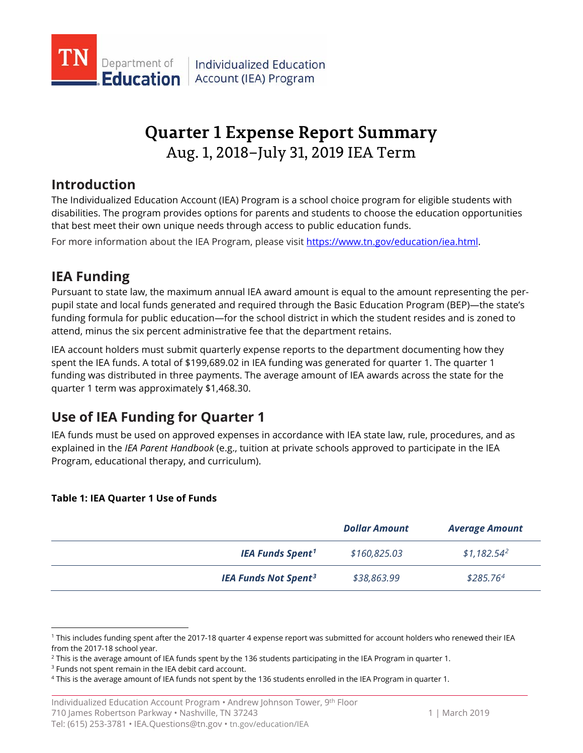

# **Quarter 1 Expense Report Summary** Aug. 1, 2018–July 31, 2019 IEA Term

## **Introduction**

The Individualized Education Account (IEA) Program is a school choice program for eligible students with disabilities. The program provides options for parents and students to choose the education opportunities that best meet their own unique needs through access to public education funds.

For more information about the IEA Program, please visit [https://www.tn.gov/education/iea.html.](https://www.tn.gov/education/iea.html)

## **IEA Funding**

Pursuant to state law, the maximum annual IEA award amount is equal to the amount representing the perpupil state and local funds generated and required through the Basic Education Program (BEP)—the state's funding formula for public education—for the school district in which the student resides and is zoned to attend, minus the six percent administrative fee that the department retains.

IEA account holders must submit quarterly expense reports to the department documenting how they spent the IEA funds. A total of \$199,689.02 in IEA funding was generated for quarter 1. The quarter 1 funding was distributed in three payments. The average amount of IEA awards across the state for the quarter 1 term was approximately \$1,468.30.

## **Use of IEA Funding for Quarter 1**

IEA funds must be used on approved expenses in accordance with IEA state law, rule, procedures, and as explained in the *IEA Parent Handbook* (e.g., tuition at private schools approved to participate in the IEA Program, educational therapy, and curriculum).

### **Table 1: IEA Quarter 1 Use of Funds**

|                                        | <b>Dollar Amount</b> | <b>Average Amount</b> |
|----------------------------------------|----------------------|-----------------------|
| <b>IEA Funds Spent<sup>1</sup></b>     | \$160,825.03         | $$1,182.54^2$         |
| <b>IEA Funds Not Spent<sup>3</sup></b> | \$38,863.99          | \$285.76 <sup>4</sup> |

 $\overline{a}$ 

<span id="page-0-0"></span><sup>1</sup> This includes funding spent after the 2017-18 quarter 4 expense report was submitted for account holders who renewed their IEA

<span id="page-0-1"></span>from the 2017-18 school year.<br><sup>2</sup> This is the average amount of IEA funds spent by the 136 students participating in the IEA Program in quarter 1.<br><sup>3</sup> Funds not spent remain in the IEA debit card account.

<span id="page-0-2"></span>

<span id="page-0-3"></span><sup>4</sup> This is the average amount of IEA funds not spent by the 136 students enrolled in the IEA Program in quarter 1.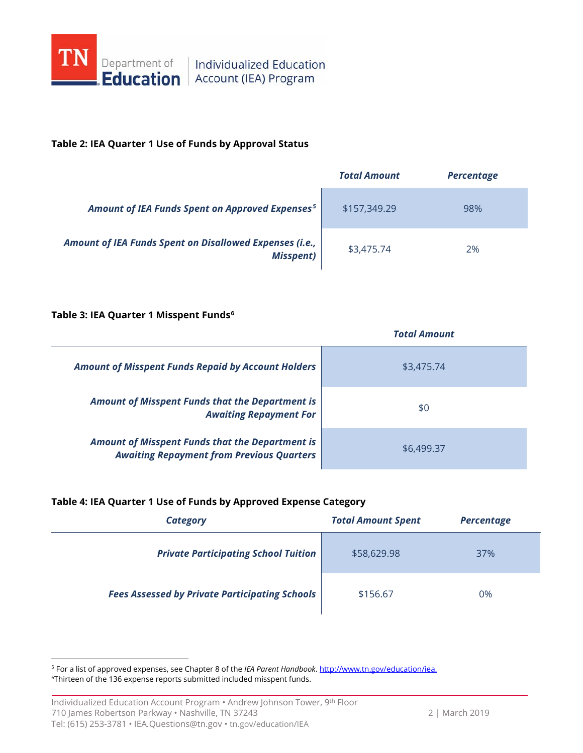

### **Table 2: IEA Quarter 1 Use of Funds by Approval Status**

|                                                                             | <b>Total Amount</b> | <b>Percentage</b> |
|-----------------------------------------------------------------------------|---------------------|-------------------|
| Amount of IEA Funds Spent on Approved Expenses <sup>5</sup>                 | \$157,349.29        | 98%               |
| Amount of IEA Funds Spent on Disallowed Expenses (i.e.,<br><b>Misspent)</b> | \$3,475.74          | 2%                |

### **Table 3: IEA Quarter 1 Misspent Funds[6](#page-1-1)**

|                                                                                                            | <b>Total Amount</b> |  |
|------------------------------------------------------------------------------------------------------------|---------------------|--|
| <b>Amount of Misspent Funds Repaid by Account Holders</b>                                                  | \$3,475.74          |  |
| <b>Amount of Misspent Funds that the Department is</b><br><b>Awaiting Repayment For</b>                    | \$0                 |  |
| <b>Amount of Misspent Funds that the Department is</b><br><b>Awaiting Repayment from Previous Quarters</b> | \$6,499.37          |  |

### **Table 4: IEA Quarter 1 Use of Funds by Approved Expense Category**

| Category                                              | <b>Total Amount Spent</b> | <b>Percentage</b> |
|-------------------------------------------------------|---------------------------|-------------------|
| <b>Private Participating School Tuition</b>           | \$58,629.98               | 37%               |
| <b>Fees Assessed by Private Participating Schools</b> | \$156.67                  | 0%                |

<span id="page-1-1"></span><span id="page-1-0"></span> 5 For a list of approved expenses, see Chapter 8 of the *IEA Parent Handbook*[. http://www.tn.gov/education/iea.](http://www.tn.gov/education/iea) <sup>6</sup>Thirteen of the 136 expense reports submitted included misspent funds.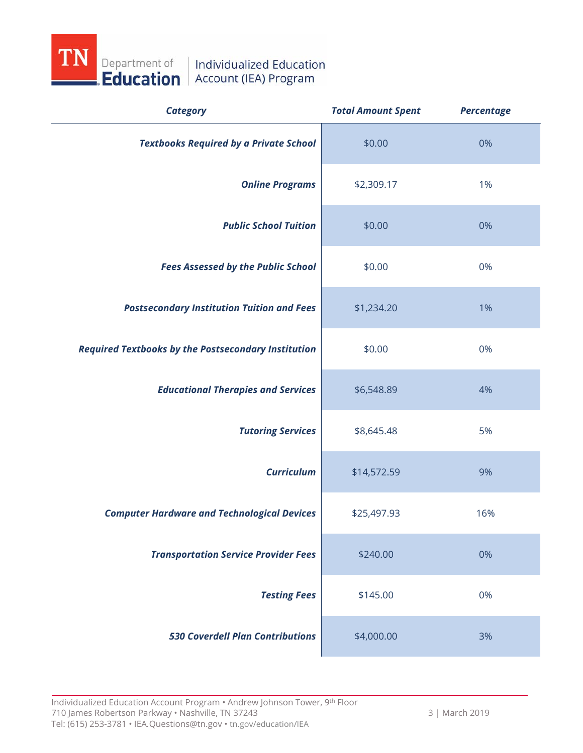

| <b>Category</b>                                            | <b>Total Amount Spent</b> | <b>Percentage</b> |
|------------------------------------------------------------|---------------------------|-------------------|
| <b>Textbooks Required by a Private School</b>              | \$0.00                    | 0%                |
| <b>Online Programs</b>                                     | \$2,309.17                | 1%                |
| <b>Public School Tuition</b>                               | \$0.00                    | 0%                |
| <b>Fees Assessed by the Public School</b>                  | \$0.00                    | 0%                |
| <b>Postsecondary Institution Tuition and Fees</b>          | \$1,234.20                | 1%                |
| <b>Required Textbooks by the Postsecondary Institution</b> | \$0.00                    | 0%                |
| <b>Educational Therapies and Services</b>                  | \$6,548.89                | 4%                |
| <b>Tutoring Services</b>                                   | \$8,645.48                | 5%                |
| <b>Curriculum</b>                                          | \$14,572.59               | 9%                |
| <b>Computer Hardware and Technological Devices</b>         | \$25,497.93               | 16%               |
| <b>Transportation Service Provider Fees</b>                | \$240.00                  | 0%                |
| <b>Testing Fees</b>                                        | \$145.00                  | 0%                |
| <b>530 Coverdell Plan Contributions</b>                    | \$4,000.00                | 3%                |